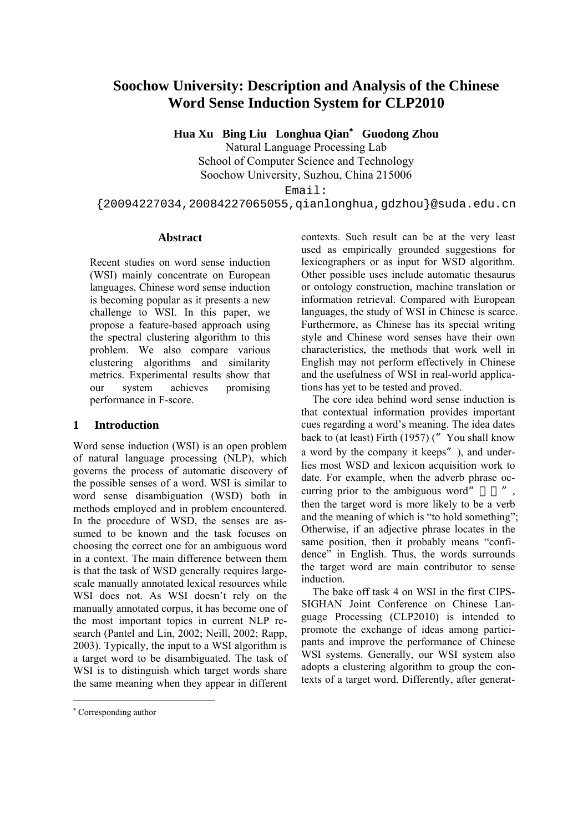# **Soochow University: Description and Analysis of the Chinese Word Sense Induction System for CLP2010**

**Hua Xu Bing Liu Longhua Qian**[∗](#page-0-0)  **Guodong Zhou** 

Natural Language Processing Lab School of Computer Science and Technology Soochow University, Suzhou, China 215006

Email:

{20094227034,20084227065055,qianlonghua,gdzhou}@suda.edu.cn

#### **Abstract**

Recent studies on word sense induction (WSI) mainly concentrate on European languages, Chinese word sense induction is becoming popular as it presents a new challenge to WSI. In this paper, we propose a feature-based approach using the spectral clustering algorithm to this problem. We also compare various clustering algorithms and similarity metrics. Experimental results show that our system achieves promising performance in F-score.

### **1 Introduction**

Word sense induction (WSI) is an open problem of natural language processing (NLP), which governs the process of automatic discovery of the possible senses of a word. WSI is similar to word sense disambiguation (WSD) both in methods employed and in problem encountered. In the procedure of WSD, the senses are assumed to be known and the task focuses on choosing the correct one for an ambiguous word in a context. The main difference between them is that the task of WSD generally requires largescale manually annotated lexical resources while WSI does not. As WSI doesn't rely on the manually annotated corpus, it has become one of the most important topics in current NLP research (Pantel and Lin, 2002; Neill, 2002; Rapp, 2003). Typically, the input to a WSI algorithm is a target word to be disambiguated. The task of WSI is to distinguish which target words share the same meaning when they appear in different

contexts. Such result can be at the very least used as empirically grounded suggestions for lexicographers or as input for WSD algorithm. Other possible uses include automatic thesaurus or ontology construction, machine translation or information retrieval. Compared with European languages, the study of WSI in Chinese is scarce. Furthermore, as Chinese has its special writing style and Chinese word senses have their own characteristics, the methods that work well in English may not perform effectively in Chinese and the usefulness of WSI in real-world applications has yet to be tested and proved.

The core idea behind word sense induction is that contextual information provides important cues regarding a word's meaning. The idea dates back to (at least) Firth (1957) ( $"$  You shall know a word by the company it keeps"), and underlies most WSD and lexicon acquisition work to date. For example, when the adverb phrase occurring prior to the ambiguous word", then the target word is more likely to be a verb and the meaning of which is "to hold something"; Otherwise, if an adjective phrase locates in the same position, then it probably means "confidence" in English. Thus, the words surrounds the target word are main contributor to sense induction.

The bake off task 4 on WSI in the first CIPS-SIGHAN Joint Conference on Chinese Language Processing (CLP2010) is intended to promote the exchange of ideas among participants and improve the performance of Chinese WSI systems. Generally, our WSI system also adopts a clustering algorithm to group the contexts of a target word. Differently, after generat-

<span id="page-0-0"></span><sup>∗</sup> Corresponding author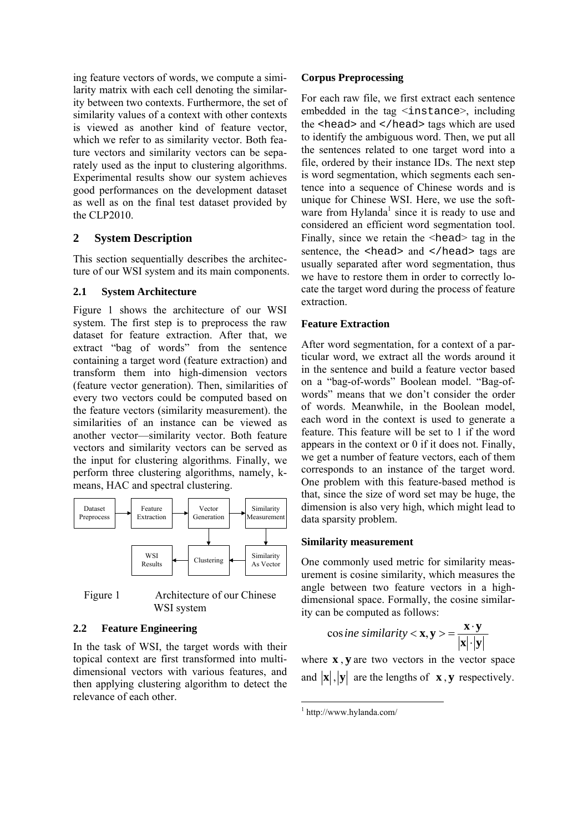ing feature vectors of words, we compute a similarity matrix with each cell denoting the similarity between two contexts. Furthermore, the set of similarity values of a context with other contexts is viewed as another kind of feature vector, which we refer to as similarity vector. Both feature vectors and similarity vectors can be separately used as the input to clustering algorithms. Experimental results show our system achieves good performances on the development dataset as well as on the final test dataset provided by the CLP2010.

### **2 System Description**

This section sequentially describes the architecture of our WSI system and its main components.

### **2.1 System Architecture**

Figure 1 shows the architecture of our WSI system. The first step is to preprocess the raw dataset for feature extraction. After that, we extract "bag of words" from the sentence containing a target word (feature extraction) and transform them into high-dimension vectors (feature vector generation). Then, similarities of every two vectors could be computed based on the feature vectors (similarity measurement). the similarities of an instance can be viewed as another vector—similarity vector. Both feature vectors and similarity vectors can be served as the input for clustering algorithms. Finally, we perform three clustering algorithms, namely, kmeans, HAC and spectral clustering.



Figure 1 Architecture of our Chinese WSI system

### **2.2 Feature Engineering**

In the task of WSI, the target words with their topical context are first transformed into multidimensional vectors with various features, and then applying clustering algorithm to detect the relevance of each other.

### **Corpus Preprocessing**

For each raw file, we first extract each sentence embedded in the tag  $\leq$  instance $>$ , including the <head> and </head> tags which are used to identify the ambiguous word. Then, we put all the sentences related to one target word into a file, ordered by their instance IDs. The next step is word segmentation, which segments each sentence into a seque[nc](#page-1-0)e of Chinese words and is unique for Chinese WSI. Here, we use the software from Hylanda<sup>1</sup> since it is ready to use and considered an efficient word segmentation tool. Finally, since we retain the  $\leq$ head $\geq$  tag in the sentence, the <head> and </head> tags are usually separated after word segmentation, thus we have to restore them in order to correctly locate the target word during the process of feature extraction.

## **Feature Extraction**

After word segmentation, for a context of a particular word, we extract all the words around it in the sentence and build a feature vector based on a "bag-of-words" Boolean model. "Bag-ofwords" means that we don't consider the order of words. Meanwhile, in the Boolean model, each word in the context is used to generate a feature. This feature will be set to 1 if the word appears in the context or 0 if it does not. Finally, we get a number of feature vectors, each of them corresponds to an instance of the target word. One problem with this feature-based method is that, since the size of word set may be huge, the dimension is also very high, which might lead to data sparsity problem.

### **Similarity measurement**

One commonly used metric for similarity measurement is cosine similarity, which measures the angle between two feature vectors in a highdimensional space. Formally, the cosine similarity can be computed as follows:

$$
\cos ine \, similarity < \mathbf{x}, \mathbf{y} > = \frac{\mathbf{x} \cdot \mathbf{y}}{|\mathbf{x}| \cdot |\mathbf{y}|}
$$

where **x** , **y** are two vectors in the vector space and  $\vert \mathbf{x} \vert$ ,  $\vert \mathbf{y} \vert$  are the lengths of **x**, **y** respectively.

<span id="page-1-0"></span>  $1$  <http://www.hylanda.com/>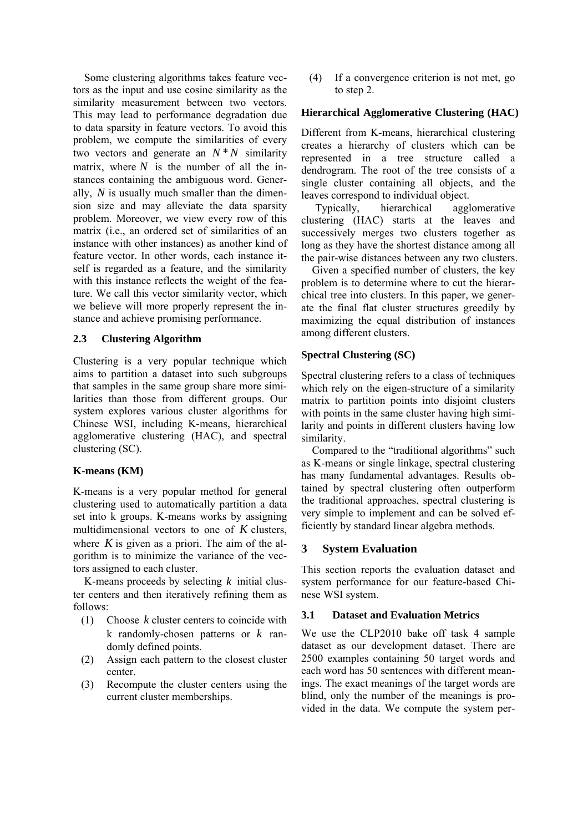Some clustering algorithms takes feature vectors as the input and use cosine similarity as the similarity measurement between two vectors. This may lead to performance degradation due to data sparsity in feature vectors. To avoid this problem, we compute the similarities of every two vectors and generate an  $N^*N$  similarity matrix, where  $N$  is the number of all the instances containing the ambiguous word. Generally,  $N$  is usually much smaller than the dimension size and may alleviate the data sparsity problem. Moreover, we view every row of this matrix (i.e., an ordered set of similarities of an instance with other instances) as another kind of feature vector. In other words, each instance itself is regarded as a feature, and the similarity with this instance reflects the weight of the feature. We call this vector similarity vector, which we believe will more properly represent the instance and achieve promising performance.

### **2.3 Clustering Algorithm**

Clustering is a very popular technique which aims to partition a dataset into such subgroups that samples in the same group share more similarities than those from different groups. Our system explores various cluster algorithms for Chinese WSI, including K-means, hierarchical agglomerative clustering (HAC), and spectral clustering (SC).

#### **K-means (KM)**

K-means is a very popular method for general clustering used to automatically partition a data set into k groups. K-means works by assigning multidimensional vectors to one of *K* clusters, where  $K$  is given as a priori. The aim of the algorithm is to minimize the variance of the vectors assigned to each cluster.

K-means proceeds by selecting *k* initial cluster centers and then iteratively refining them as follows:

- (1) Choose  $k$  cluster centers to coincide with k randomly-chosen patterns or *k* randomly defined points.
- (2) Assign each pattern to the closest cluster center.
- (3) Recompute the cluster centers using the current cluster memberships.

(4) If a convergence criterion is not met, go to step 2.

#### **Hierarchical Agglomerative Clustering (HAC)**

Different from K-means, hierarchical clustering creates a hierarchy of clusters which can be represented in a tree structure called a dendrogram. The root of the tree consists of a single cluster containing all objects, and the leaves correspond to individual object.

Typically, hierarchical agglomerative clustering (HAC) starts at the leaves and successively merges two clusters together as long as they have the shortest distance among all the pair-wise distances between any two clusters.

Given a specified number of clusters, the key problem is to determine where to cut the hierarchical tree into clusters. In this paper, we generate the final flat cluster structures greedily by maximizing the equal distribution of instances among different clusters.

### **Spectral Clustering (SC)**

Spectral clustering refers to a class of techniques which rely on the eigen-structure of a similarity matrix to partition points into disjoint clusters with points in the same cluster having high similarity and points in different clusters having low similarity.

Compared to the "traditional algorithms" such as K-means or single linkage, spectral clustering has many fundamental advantages. Results obtained by spectral clustering often outperform the traditional approaches, spectral clustering is very simple to implement and can be solved efficiently by standard linear algebra methods.

### **3 System Evaluation**

This section reports the evaluation dataset and system performance for our feature-based Chinese WSI system.

#### **3.1 Dataset and Evaluation Metrics**

We use the CLP2010 bake off task 4 sample dataset as our development dataset. There are 2500 examples containing 50 target words and each word has 50 sentences with different meanings. The exact meanings of the target words are blind, only the number of the meanings is provided in the data. We compute the system per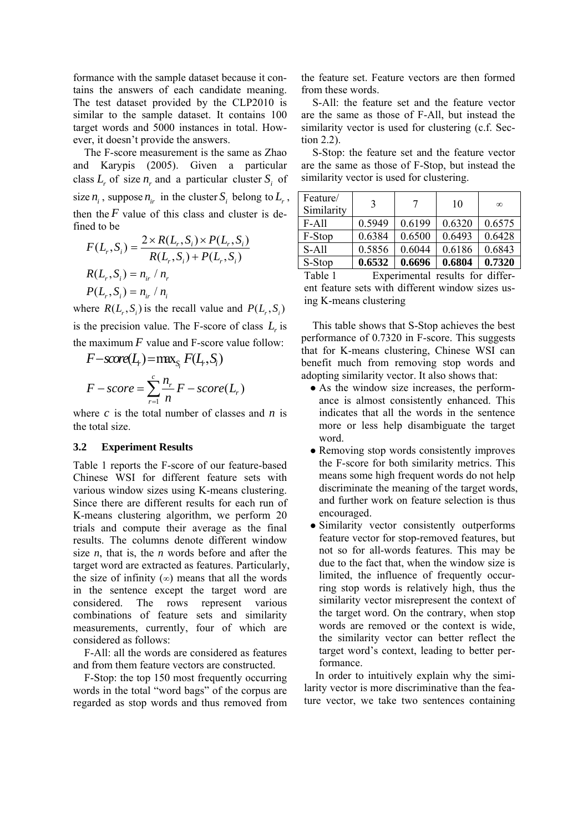formance with the sample dataset because it contains the answers of each candidate meaning. The test dataset provided by the CLP2010 is similar to the sample dataset. It contains 100 target words and 5000 instances in total. However, it doesn't provide the answers.

The F-score measurement is the same as Zhao and Karypis (2005). Given a particular class  $L_r$  of size  $n_r$  and a particular cluster  $S_i$  of size  $n_i$ , suppose  $n_i$  in the cluster  $S_i$  belong to  $L_r$ , then the  $F$  value of this class and cluster is defined to be

$$
F(L_r, S_i) = \frac{2 \times R(L_r, S_i) \times P(L_r, S_i)}{R(L_r, S_i) + P(L_r, S_i)}
$$
  

$$
R(L_r, S_i) = n_{ir} / n_r
$$
  

$$
P(L_r, S_i) = n_{ir} / n_i
$$

where  $R(L_r, S_i)$  is the recall value and  $P(L_r, S_i)$ is the precision value. The F-score of class  $L_r$  is the maximum  $F$  value and F-score value follow:

$$
F-score(Lf) = \max_{S_i} F(L_f, S_i)
$$

$$
F-score = \sum_{r=1}^{c} \frac{n_r}{n} F-score(L_r)
$$

where  $c$  is the total number of classes and  $n$  is the total size.

### **3.2 Experiment Results**

Table 1 reports the F-score of our feature-based Chinese WSI for different feature sets with various window sizes using K-means clustering. Since there are different results for each run of K-means clustering algorithm, we perform 20 trials and compute their average as the final results. The columns denote different window size *n*, that is, the *n* words before and after the target word are extracted as features. Particularly, the size of infinity  $(\infty)$  means that all the words in the sentence except the target word are considered. The rows represent various combinations of feature sets and similarity measurements, currently, four of which are considered as follows:

F-All: all the words are considered as features and from them feature vectors are constructed.

F-Stop: the top 150 most frequently occurring words in the total "word bags" of the corpus are regarded as stop words and thus removed from the feature set. Feature vectors are then formed from these words.

S-All: the feature set and the feature vector are the same as those of F-All, but instead the similarity vector is used for clustering (c.f. Section 2.2).

S-Stop: the feature set and the feature vector are the same as those of F-Stop, but instead the similarity vector is used for clustering.

| Feature/<br>Similarity | 3      |        | 10     | $\infty$ |
|------------------------|--------|--------|--------|----------|
| <b>F-All</b>           | 0.5949 | 0.6199 | 0.6320 | 0.6575   |
| F-Stop                 | 0.6384 | 0.6500 | 0.6493 | 0.6428   |
| S-All                  | 0.5856 | 0.6044 | 0.6186 | 0.6843   |
| S-Stop                 | 0.6532 | 0.6696 | 0.6804 | 0.7320   |

Table 1 Experimental results for different feature sets with different window sizes using K-means clustering

This table shows that S-Stop achieves the best performance of 0.7320 in F-score. This suggests that for K-means clustering, Chinese WSI can benefit much from removing stop words and adopting similarity vector. It also shows that:

- As the window size increases, the performance is almost consistently enhanced. This indicates that all the words in the sentence more or less help disambiguate the target word.
- Removing stop words consistently improves the F-score for both similarity metrics. This means some high frequent words do not help discriminate the meaning of the target words, and further work on feature selection is thus encouraged.
- Similarity vector consistently outperforms feature vector for stop-removed features, but not so for all-words features. This may be due to the fact that, when the window size is limited, the influence of frequently occurring stop words is relatively high, thus the similarity vector misrepresent the context of the target word. On the contrary, when stop words are removed or the context is wide, the similarity vector can better reflect the target word's context, leading to better performance.

In order to intuitively explain why the similarity vector is more discriminative than the feature vector, we take two sentences containing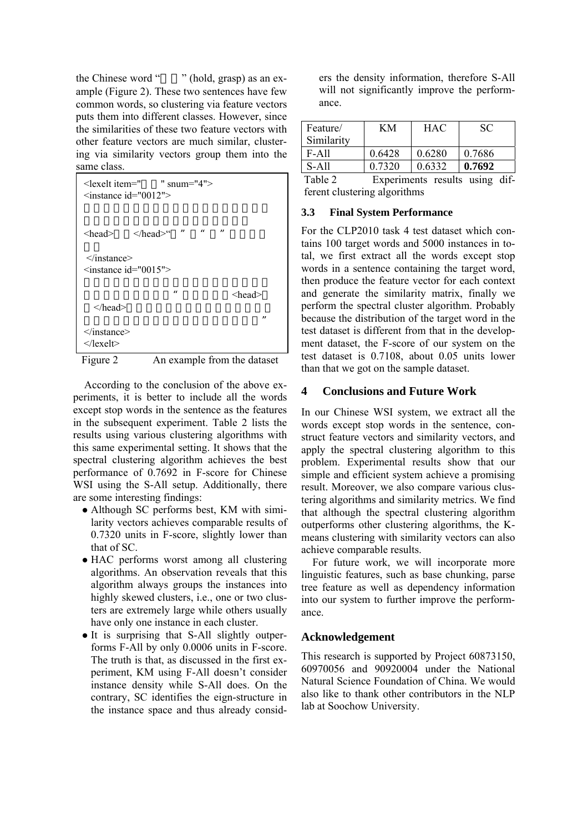the Chinese word "" (hold, grasp) as an example (Figure 2). These two sentences have few common words, so clustering via feature vectors puts them into different classes. However, since the similarities of these two feature vectors with other feature vectors are much similar, clustering via similarity vectors group them into the same class.

| $\le$ lexelt item=" " snum="4"><br>$\leq$ instance id="0012">                |                   |
|------------------------------------------------------------------------------|-------------------|
| $\mathbf{u}$ $\mathbf{u}$<br>$\langle head \rangle$ $\langle head \rangle$ " | $^{\prime\prime}$ |
| $\le$ /instance><br>$\leq$ instance id="0015">                               |                   |
| $\boldsymbol{u}$                                                             | <head></head>     |
| $<$ /head $>$                                                                | $\mathbf{u}$      |
| $\le$ /instance><br>$\langle$ lexelt $\rangle$                               |                   |

Figure 2 An example from the dataset

According to the conclusion of the above experiments, it is better to include all the words except stop words in the sentence as the features in the subsequent experiment. Table 2 lists the results using various clustering algorithms with this same experimental setting. It shows that the spectral clustering algorithm achieves the best performance of 0.7692 in F-score for Chinese WSI using the S-All setup. Additionally, there are some interesting findings:

- Although SC performs best, KM with similarity vectors achieves comparable results of 0.7320 units in F-score, slightly lower than that of SC.
- HAC performs worst among all clustering algorithms. An observation reveals that this algorithm always groups the instances into highly skewed clusters, i.e., one or two clusters are extremely large while others usually have only one instance in each cluster.
- It is surprising that S-All slightly outperforms F-All by only 0.0006 units in F-score. The truth is that, as discussed in the first experiment, KM using F-All doesn't consider instance density while S-All does. On the contrary, SC identifies the eign-structure in the instance space and thus already consid-

ers the density information, therefore S-All will not significantly improve the performance.

| Feature/<br>Similarity | KМ     | <b>HAC</b> | SС     |
|------------------------|--------|------------|--------|
| F-All                  | 0.6428 | 0.6280     | 0.7686 |
| S-All                  | 0.7320 | 0.6332     | 0.7692 |

Table 2 Experiments results using different clustering algorithms

## **3.3 Final System Performance**

For the CLP2010 task 4 test dataset which contains 100 target words and 5000 instances in total, we first extract all the words except stop words in a sentence containing the target word, then produce the feature vector for each context and generate the similarity matrix, finally we perform the spectral cluster algorithm. Probably because the distribution of the target word in the test dataset is different from that in the development dataset, the F-score of our system on the test dataset is 0.7108, about 0.05 units lower than that we got on the sample dataset.

# **4 Conclusions and Future Work**

In our Chinese WSI system, we extract all the words except stop words in the sentence, construct feature vectors and similarity vectors, and apply the spectral clustering algorithm to this problem. Experimental results show that our simple and efficient system achieve a promising result. Moreover, we also compare various clustering algorithms and similarity metrics. We find that although the spectral clustering algorithm outperforms other clustering algorithms, the Kmeans clustering with similarity vectors can also achieve comparable results.

For future work, we will incorporate more linguistic features, such as base chunking, parse tree feature as well as dependency information into our system to further improve the performance.

# **Acknowledgement**

This research is supported by Project 60873150, 60970056 and 90920004 under the National Natural Science Foundation of China. We would also like to thank other contributors in the NLP lab at Soochow University.